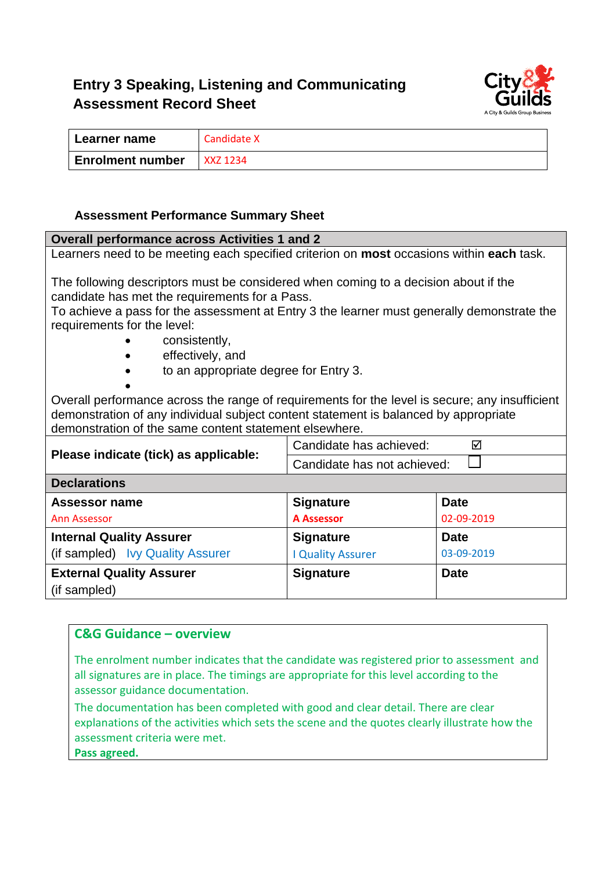# **Entry 3 Speaking, Listening and Communicating Assessment Record Sheet**



| Learner name            | Candidate X |
|-------------------------|-------------|
| <b>Enrolment number</b> | XXZ 1234    |

#### **Assessment Performance Summary Sheet**

| Overall performance across Activities 1 and 2                                                                             |                             |             |  |
|---------------------------------------------------------------------------------------------------------------------------|-----------------------------|-------------|--|
| Learners need to be meeting each specified criterion on <b>most</b> occasions within <b>each</b> task.                    |                             |             |  |
|                                                                                                                           |                             |             |  |
| The following descriptors must be considered when coming to a decision about if the                                       |                             |             |  |
| candidate has met the requirements for a Pass.                                                                            |                             |             |  |
| To achieve a pass for the assessment at Entry 3 the learner must generally demonstrate the<br>requirements for the level: |                             |             |  |
| consistently,                                                                                                             |                             |             |  |
| effectively, and                                                                                                          |                             |             |  |
| to an appropriate degree for Entry 3.                                                                                     |                             |             |  |
|                                                                                                                           |                             |             |  |
| Overall performance across the range of requirements for the level is secure; any insufficient                            |                             |             |  |
| demonstration of any individual subject content statement is balanced by appropriate                                      |                             |             |  |
| demonstration of the same content statement elsewhere.                                                                    |                             |             |  |
| Please indicate (tick) as applicable:                                                                                     | Candidate has achieved:     | ⊠           |  |
|                                                                                                                           | Candidate has not achieved: |             |  |
| <b>Declarations</b>                                                                                                       |                             |             |  |
| <b>Assessor name</b>                                                                                                      | <b>Signature</b>            | <b>Date</b> |  |
| <b>Ann Assessor</b>                                                                                                       | <b>A Assessor</b>           | 02-09-2019  |  |
| <b>Internal Quality Assurer</b>                                                                                           | <b>Signature</b>            | <b>Date</b> |  |
| (if sampled) lvy Quality Assurer                                                                                          | <b>I Quality Assurer</b>    | 03-09-2019  |  |
| <b>External Quality Assurer</b>                                                                                           | <b>Signature</b>            | <b>Date</b> |  |
| (if sampled)                                                                                                              |                             |             |  |

## **C&G Guidance – overview**

The enrolment number indicates that the candidate was registered prior to assessment and all signatures are in place. The timings are appropriate for this level according to the assessor guidance documentation.

The documentation has been completed with good and clear detail. There are clear explanations of the activities which sets the scene and the quotes clearly illustrate how the assessment criteria were met.

**Pass agreed.**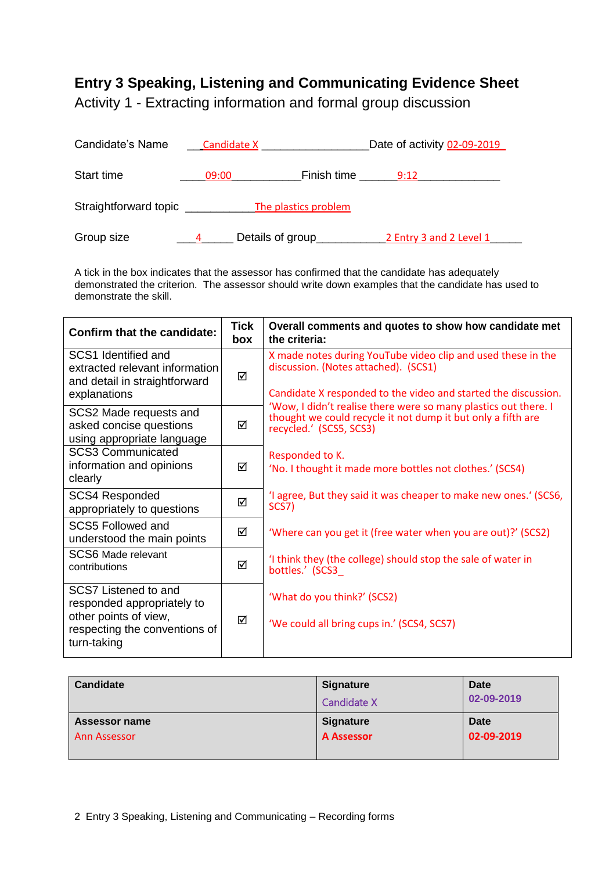## **Entry 3 Speaking, Listening and Communicating Evidence Sheet**

Activity 1 - Extracting information and formal group discussion

| Candidate's Name                              | Candidate X      |             | Date of activity 02-09-2019 |
|-----------------------------------------------|------------------|-------------|-----------------------------|
| Start time                                    | 09:00            | Finish time | 9:12                        |
| Straightforward topic<br>The plastics problem |                  |             |                             |
| Group size                                    | Details of group |             | 2 Entry 3 and 2 Level 1     |

A tick in the box indicates that the assessor has confirmed that the candidate has adequately demonstrated the criterion. The assessor should write down examples that the candidate has used to demonstrate the skill.

| <b>Confirm that the candidate:</b>                                                                                          | <b>Tick</b><br>box | Overall comments and quotes to show how candidate met<br>the criteria:                                                                                                 |
|-----------------------------------------------------------------------------------------------------------------------------|--------------------|------------------------------------------------------------------------------------------------------------------------------------------------------------------------|
| SCS1 Identified and<br>extracted relevant information<br>and detail in straightforward                                      | ☑                  | X made notes during YouTube video clip and used these in the<br>discussion. (Notes attached). (SCS1)<br>Candidate X responded to the video and started the discussion. |
| explanations<br>SCS2 Made requests and<br>asked concise questions<br>using appropriate language                             | ☑                  | 'Wow, I didn't realise there were so many plastics out there. I<br>thought we could recycle it not dump it but only a fifth are<br>recycled.' (SCS5, SCS3)             |
| <b>SCS3 Communicated</b><br>information and opinions<br>clearly                                                             | ⊠                  | Responded to K.<br>'No. I thought it made more bottles not clothes.' (SCS4)                                                                                            |
| <b>SCS4 Responded</b><br>appropriately to questions                                                                         | ☑                  | 'I agree, But they said it was cheaper to make new ones.' (SCS6,<br>SCS7)                                                                                              |
| SCS5 Followed and<br>understood the main points                                                                             | ☑                  | 'Where can you get it (free water when you are out)?' (SCS2)                                                                                                           |
| <b>SCS6</b> Made relevant<br>contributions                                                                                  | ☑                  | I think they (the college) should stop the sale of water in<br>bottles.' (SCS3_                                                                                        |
| SCS7 Listened to and<br>responded appropriately to<br>other points of view,<br>respecting the conventions of<br>turn-taking | ☑                  | 'What do you think?' (SCS2)<br>'We could all bring cups in.' (SCS4, SCS7)                                                                                              |

| <b>Candidate</b> | <b>Signature</b>   | Date       |
|------------------|--------------------|------------|
|                  | <b>Candidate X</b> | 02-09-2019 |
| Assessor name    | <b>Signature</b>   | Date       |
| Ann Assessor     | <b>A Assessor</b>  | 02-09-2019 |
|                  |                    |            |